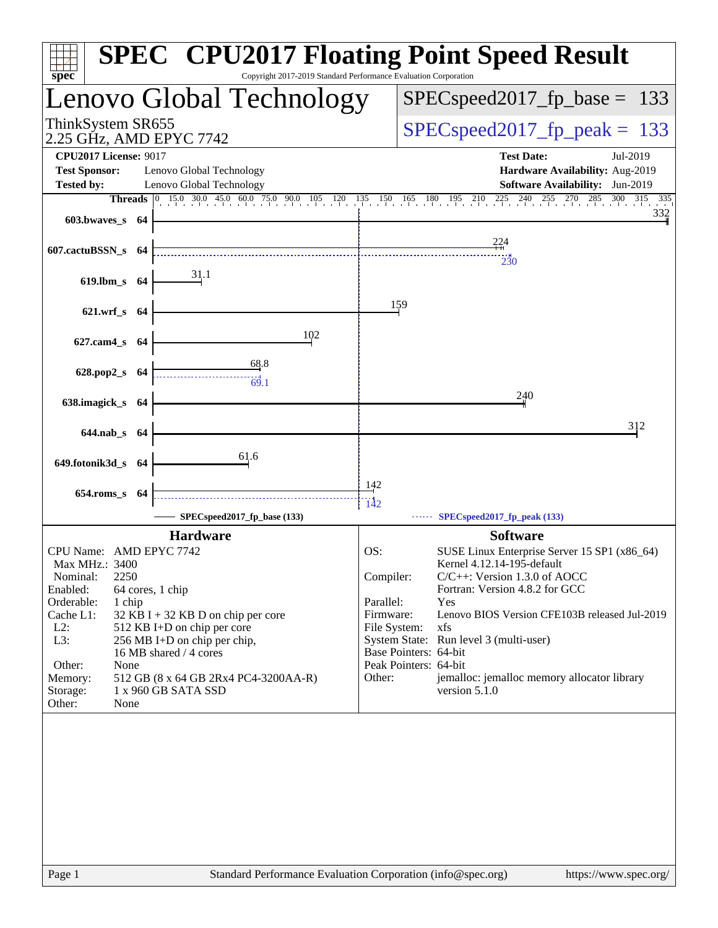| $spec^*$                                                                                   | Copyright 2017-2019 Standard Performance Evaluation Corporation | <b>SPEC<sup>®</sup> CPU2017 Floating Point Speed Result</b>                                             |
|--------------------------------------------------------------------------------------------|-----------------------------------------------------------------|---------------------------------------------------------------------------------------------------------|
| Lenovo Global Technology                                                                   |                                                                 | $SPEC speed2017_fp\_base =$<br>133                                                                      |
| ThinkSystem SR655<br>2.25 GHz, AMD EPYC 7742                                               |                                                                 | $SPEC speed2017_fp_peak = 133$                                                                          |
| <b>CPU2017 License: 9017</b><br><b>Test Sponsor:</b><br>Lenovo Global Technology           |                                                                 | <b>Test Date:</b><br>Jul-2019<br>Hardware Availability: Aug-2019                                        |
| <b>Tested by:</b><br>Lenovo Global Technology                                              |                                                                 | Software Availability: Jun-2019                                                                         |
|                                                                                            |                                                                 | Threads 0 15.0 30.0 45.0 60.0 75.0 90.0 105 120 135 150 165 180 195 210 225 240 255 270 285 300 315 335 |
| $603.bwaves$ 64                                                                            |                                                                 | 332                                                                                                     |
| 607.cactuBSSN_s 64                                                                         |                                                                 | 224<br>230                                                                                              |
| 619.lbm_s 64                                                                               |                                                                 |                                                                                                         |
| 621.wrf_s 64                                                                               | 159                                                             |                                                                                                         |
| 627.cam4_s 64                                                                              | 102                                                             |                                                                                                         |
| $\frac{68.8}{69.1}$<br>628.pop2_s 64                                                       |                                                                 |                                                                                                         |
| 638.imagick_s 64                                                                           |                                                                 | 240                                                                                                     |
| 644.nab_s 64                                                                               |                                                                 | 312                                                                                                     |
|                                                                                            |                                                                 |                                                                                                         |
| 61.6<br>649.fotonik3d_s 64                                                                 |                                                                 |                                                                                                         |
| 654.roms_s 64                                                                              | 142                                                             |                                                                                                         |
| SPECspeed2017_fp_base (133)                                                                | $\frac{11}{142}$                                                | SPECspeed2017_fp_peak (133)                                                                             |
| <b>Hardware</b>                                                                            |                                                                 | <b>Software</b>                                                                                         |
| CPU Name: AMD EPYC 7742                                                                    | OS:                                                             | SUSE Linux Enterprise Server 15 SP1 (x86_64)                                                            |
| Max MHz.: 3400<br>2250<br>Nominal:                                                         | Compiler:                                                       | Kernel 4.12.14-195-default<br>$C/C++$ : Version 1.3.0 of AOCC                                           |
| Enabled:<br>64 cores, 1 chip                                                               |                                                                 | Fortran: Version 4.8.2 for GCC                                                                          |
| Orderable:<br>1 chip                                                                       | Parallel:                                                       | Yes                                                                                                     |
| Cache L1:<br>$32$ KB I + 32 KB D on chip per core<br>$L2$ :<br>512 KB I+D on chip per core | Firmware:<br>File System:                                       | Lenovo BIOS Version CFE103B released Jul-2019<br>xfs                                                    |
| L3:<br>256 MB I+D on chip per chip,                                                        |                                                                 | System State: Run level 3 (multi-user)                                                                  |
| 16 MB shared / 4 cores                                                                     |                                                                 | Base Pointers: 64-bit                                                                                   |
| Other:<br>None                                                                             |                                                                 | Peak Pointers: 64-bit                                                                                   |
| 512 GB (8 x 64 GB 2Rx4 PC4-3200AA-R)<br>Memory:<br>Storage:<br>1 x 960 GB SATA SSD         | Other:                                                          | jemalloc: jemalloc memory allocator library<br>version 5.1.0                                            |
| Other:<br>None                                                                             |                                                                 |                                                                                                         |
|                                                                                            |                                                                 |                                                                                                         |
|                                                                                            |                                                                 |                                                                                                         |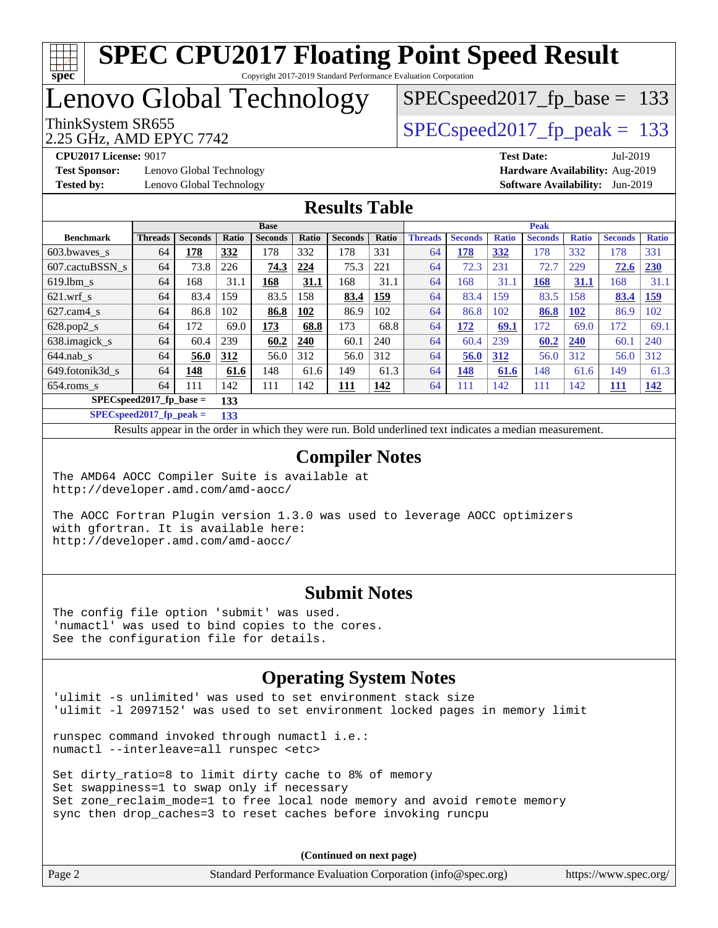# **[spec](http://www.spec.org/)**

#### **[SPEC CPU2017 Floating Point Speed Result](http://www.spec.org/auto/cpu2017/Docs/result-fields.html#SPECCPU2017FloatingPointSpeedResult)** Copyright 2017-2019 Standard Performance Evaluation Corporation

Lenovo Global Technology

ThinkSystem SR655  $S^{PI}$  SPECspeed2017 fp\_peak = 133  $SPEC speed2017_fp\_base = 133$ 

2.25 GHz, AMD EPYC 7742

**[Test Sponsor:](http://www.spec.org/auto/cpu2017/Docs/result-fields.html#TestSponsor)** Lenovo Global Technology **[Hardware Availability:](http://www.spec.org/auto/cpu2017/Docs/result-fields.html#HardwareAvailability)** Aug-2019 **[Tested by:](http://www.spec.org/auto/cpu2017/Docs/result-fields.html#Testedby)** Lenovo Global Technology **[Software Availability:](http://www.spec.org/auto/cpu2017/Docs/result-fields.html#SoftwareAvailability)** Jun-2019

**[CPU2017 License:](http://www.spec.org/auto/cpu2017/Docs/result-fields.html#CPU2017License)** 9017 **[Test Date:](http://www.spec.org/auto/cpu2017/Docs/result-fields.html#TestDate)** Jul-2019

#### **[Results Table](http://www.spec.org/auto/cpu2017/Docs/result-fields.html#ResultsTable)**

|                                  | <b>Base</b>    |                |       |                |       | <b>Peak</b>    |       |                |                |              |                |              |                |              |
|----------------------------------|----------------|----------------|-------|----------------|-------|----------------|-------|----------------|----------------|--------------|----------------|--------------|----------------|--------------|
| <b>Benchmark</b>                 | <b>Threads</b> | <b>Seconds</b> | Ratio | <b>Seconds</b> | Ratio | <b>Seconds</b> | Ratio | <b>Threads</b> | <b>Seconds</b> | <b>Ratio</b> | <b>Seconds</b> | <b>Ratio</b> | <b>Seconds</b> | <b>Ratio</b> |
| 603.bwayes s                     | 64             | 178            | 332   | 178            | 332   | 178            | 331   | 64             | 178            | 332          | 178            | 332          | 178            | 331          |
| 607.cactuBSSN s                  | 64             | 73.8           | 226   | 74.3           | 224   | 75.3           | 221   | 64             | 72.3           | 231          | 72.7           | 229          | 72.6           | 230          |
| $619.1$ bm s                     | 64             | 168            | 31.1  | 168            | 31.1  | 168            | 31.1  | 64             | 168            | 31.1         | 168            | 31.1         | 168            | 31.1         |
| $621$ .wrf s                     | 64             | 83.4           | 159   | 83.5           | 158   | 83.4           | 159   | 64             | 83.4           | 159          | 83.5           | 158          | 83.4           | <u>159</u>   |
| $627$ .cam $4$ s                 | 64             | 86.8           | 102   | 86.8           | 102   | 86.9           | 102   | 64             | 86.8           | 102          | 86.8           | <b>102</b>   | 86.9           | 102          |
| $628.pop2_s$                     | 64             | 72             | 69.0  | 173            | 68.8  | 173            | 68.8  | 64             | 172            | 69.1         | 172            | 69.0         | 172            | 69.1         |
| 638.imagick_s                    | 64             | 60.4           | 239   | 60.2           | 240   | 60.1           | 240   | 64             | 60.4           | 239          | 60.2           | 240          | 60.1           | 240          |
| $644$ .nab s                     | 64             | 56.0           | 312   | 56.0           | 312   | 56.0           | 312   | 64             | 56.0           | 312          | 56.0           | 312          | 56.0           | 312          |
| 649.fotonik3d s                  | 64             | 148            | 61.6  | 148            | 61.6  | 149            | 61.3  | 64             | 148            | 61.6         | 148            | 61.6         | 149            | 61.3         |
| $654$ .roms s                    | 64             | 111            | 142   | 111            | 142   | <u> 111</u>    | 142   | 64             | 111            | 142          | 111            | 142          | <u>111</u>     | 142          |
| $SPECspeed2017$ fp base =<br>133 |                |                |       |                |       |                |       |                |                |              |                |              |                |              |

**[SPECspeed2017\\_fp\\_peak =](http://www.spec.org/auto/cpu2017/Docs/result-fields.html#SPECspeed2017fppeak) 133**

Results appear in the [order in which they were run.](http://www.spec.org/auto/cpu2017/Docs/result-fields.html#RunOrder) Bold underlined text [indicates a median measurement](http://www.spec.org/auto/cpu2017/Docs/result-fields.html#Median).

#### **[Compiler Notes](http://www.spec.org/auto/cpu2017/Docs/result-fields.html#CompilerNotes)**

The AMD64 AOCC Compiler Suite is available at <http://developer.amd.com/amd-aocc/>

The AOCC Fortran Plugin version 1.3.0 was used to leverage AOCC optimizers with gfortran. It is available here: <http://developer.amd.com/amd-aocc/>

#### **[Submit Notes](http://www.spec.org/auto/cpu2017/Docs/result-fields.html#SubmitNotes)**

The config file option 'submit' was used. 'numactl' was used to bind copies to the cores. See the configuration file for details.

#### **[Operating System Notes](http://www.spec.org/auto/cpu2017/Docs/result-fields.html#OperatingSystemNotes)**

'ulimit -s unlimited' was used to set environment stack size 'ulimit -l 2097152' was used to set environment locked pages in memory limit

runspec command invoked through numactl i.e.: numactl --interleave=all runspec <etc>

Set dirty ratio=8 to limit dirty cache to 8% of memory Set swappiness=1 to swap only if necessary Set zone\_reclaim\_mode=1 to free local node memory and avoid remote memory sync then drop\_caches=3 to reset caches before invoking runcpu

**(Continued on next page)**

| Page 2 | Standard Performance Evaluation Corporation (info@spec.org) | https://www.spec.org/ |
|--------|-------------------------------------------------------------|-----------------------|
|        |                                                             |                       |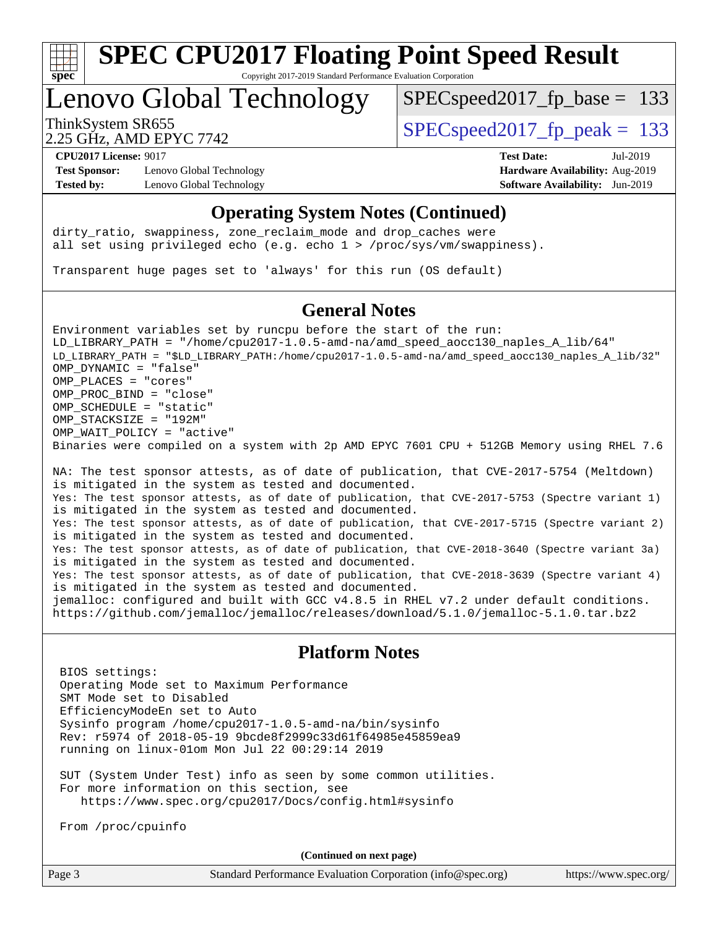

Copyright 2017-2019 Standard Performance Evaluation Corporation

## Lenovo Global Technology

SPECspeed2017 fp base =  $133$ 

2.25 GHz, AMD EPYC 7742

ThinkSystem SR655  $S^{PI}$  SPECspeed2017 fp\_peak = 133

**[Test Sponsor:](http://www.spec.org/auto/cpu2017/Docs/result-fields.html#TestSponsor)** Lenovo Global Technology **[Hardware Availability:](http://www.spec.org/auto/cpu2017/Docs/result-fields.html#HardwareAvailability)** Aug-2019 **[Tested by:](http://www.spec.org/auto/cpu2017/Docs/result-fields.html#Testedby)** Lenovo Global Technology **[Software Availability:](http://www.spec.org/auto/cpu2017/Docs/result-fields.html#SoftwareAvailability)** Jun-2019

**[CPU2017 License:](http://www.spec.org/auto/cpu2017/Docs/result-fields.html#CPU2017License)** 9017 **[Test Date:](http://www.spec.org/auto/cpu2017/Docs/result-fields.html#TestDate)** Jul-2019

#### **[Operating System Notes \(Continued\)](http://www.spec.org/auto/cpu2017/Docs/result-fields.html#OperatingSystemNotes)**

dirty\_ratio, swappiness, zone\_reclaim\_mode and drop caches were all set using privileged echo (e.g. echo 1 > /proc/sys/vm/swappiness).

Transparent huge pages set to 'always' for this run (OS default)

#### **[General Notes](http://www.spec.org/auto/cpu2017/Docs/result-fields.html#GeneralNotes)**

Environment variables set by runcpu before the start of the run: LD\_LIBRARY\_PATH = "/home/cpu2017-1.0.5-amd-na/amd\_speed\_aocc130\_naples\_A\_lib/64" LD\_LIBRARY\_PATH = "\$LD\_LIBRARY\_PATH:/home/cpu2017-1.0.5-amd-na/amd\_speed\_aocc130\_naples\_A\_lib/32" OMP\_DYNAMIC = "false" OMP\_PLACES = "cores" OMP\_PROC\_BIND = "close" OMP\_SCHEDULE = "static" OMP\_STACKSIZE = "192M" OMP WAIT POLICY = "active" Binaries were compiled on a system with 2p AMD EPYC 7601 CPU + 512GB Memory using RHEL 7.6

NA: The test sponsor attests, as of date of publication, that CVE-2017-5754 (Meltdown) is mitigated in the system as tested and documented. Yes: The test sponsor attests, as of date of publication, that CVE-2017-5753 (Spectre variant 1) is mitigated in the system as tested and documented. Yes: The test sponsor attests, as of date of publication, that CVE-2017-5715 (Spectre variant 2) is mitigated in the system as tested and documented. Yes: The test sponsor attests, as of date of publication, that CVE-2018-3640 (Spectre variant 3a) is mitigated in the system as tested and documented. Yes: The test sponsor attests, as of date of publication, that CVE-2018-3639 (Spectre variant 4) is mitigated in the system as tested and documented. jemalloc: configured and built with GCC v4.8.5 in RHEL v7.2 under default conditions. <https://github.com/jemalloc/jemalloc/releases/download/5.1.0/jemalloc-5.1.0.tar.bz2>

#### **[Platform Notes](http://www.spec.org/auto/cpu2017/Docs/result-fields.html#PlatformNotes)**

BIOS settings:

 Operating Mode set to Maximum Performance SMT Mode set to Disabled EfficiencyModeEn set to Auto Sysinfo program /home/cpu2017-1.0.5-amd-na/bin/sysinfo Rev: r5974 of 2018-05-19 9bcde8f2999c33d61f64985e45859ea9 running on linux-01om Mon Jul 22 00:29:14 2019

 SUT (System Under Test) info as seen by some common utilities. For more information on this section, see <https://www.spec.org/cpu2017/Docs/config.html#sysinfo>

From /proc/cpuinfo

**(Continued on next page)**

| Page<br>∽ |  |
|-----------|--|
|-----------|--|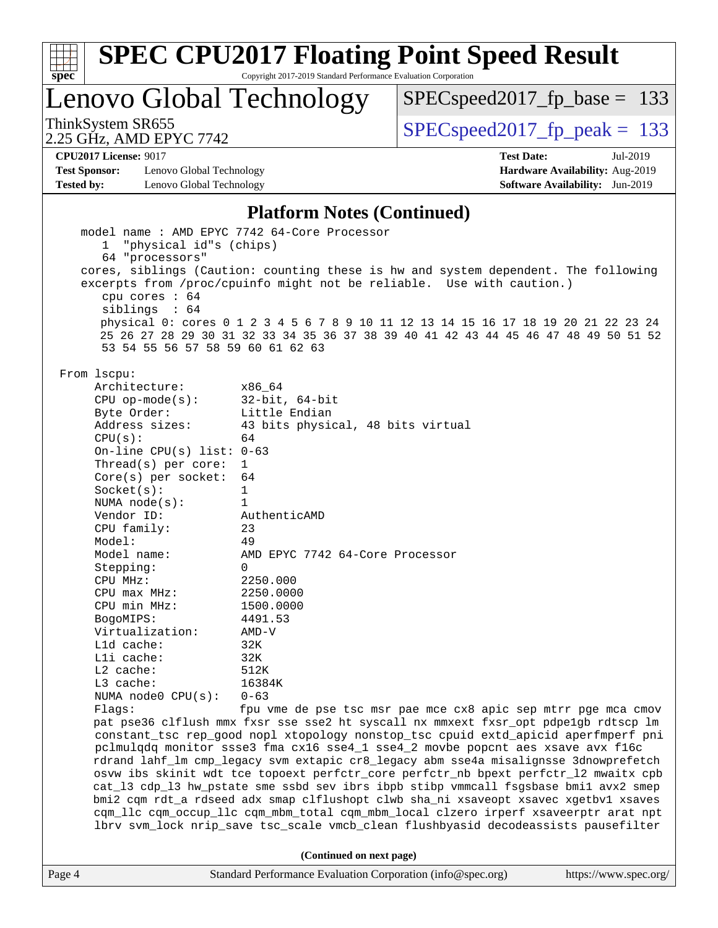

Copyright 2017-2019 Standard Performance Evaluation Corporation

Lenovo Global Technology

[SPECspeed2017\\_fp\\_base =](http://www.spec.org/auto/cpu2017/Docs/result-fields.html#SPECspeed2017fpbase) 133

2.25 GHz, AMD EPYC 7742

ThinkSystem SR655<br>  $2.25 \text{ GHz}$  AMD EPYC 7742

**[CPU2017 License:](http://www.spec.org/auto/cpu2017/Docs/result-fields.html#CPU2017License)** 9017 **[Test Date:](http://www.spec.org/auto/cpu2017/Docs/result-fields.html#TestDate)** Jul-2019

**[Test Sponsor:](http://www.spec.org/auto/cpu2017/Docs/result-fields.html#TestSponsor)** Lenovo Global Technology **[Hardware Availability:](http://www.spec.org/auto/cpu2017/Docs/result-fields.html#HardwareAvailability)** Aug-2019 **[Tested by:](http://www.spec.org/auto/cpu2017/Docs/result-fields.html#Testedby)** Lenovo Global Technology **[Software Availability:](http://www.spec.org/auto/cpu2017/Docs/result-fields.html#SoftwareAvailability)** Jun-2019

#### **[Platform Notes \(Continued\)](http://www.spec.org/auto/cpu2017/Docs/result-fields.html#PlatformNotes)**

| Page 4 |                                                                                    | Standard Performance Evaluation Corporation (info@spec.org)<br>https://www.spec.org/                                                                                      |  |  |  |  |
|--------|------------------------------------------------------------------------------------|---------------------------------------------------------------------------------------------------------------------------------------------------------------------------|--|--|--|--|
|        |                                                                                    | (Continued on next page)                                                                                                                                                  |  |  |  |  |
|        |                                                                                    | lbrv svm_lock nrip_save tsc_scale vmcb_clean flushbyasid decodeassists pausefilter                                                                                        |  |  |  |  |
|        |                                                                                    | cqm_llc cqm_occup_llc cqm_mbm_total cqm_mbm_local clzero irperf xsaveerptr arat npt                                                                                       |  |  |  |  |
|        |                                                                                    | bmi2 cqm rdt_a rdseed adx smap clflushopt clwb sha_ni xsaveopt xsavec xgetbv1 xsaves                                                                                      |  |  |  |  |
|        |                                                                                    | cat_13 cdp_13 hw_pstate sme ssbd sev ibrs ibpb stibp vmmcall fsgsbase bmil avx2 smep                                                                                      |  |  |  |  |
|        |                                                                                    | osvw ibs skinit wdt tce topoext perfctr_core perfctr_nb bpext perfctr_12 mwaitx cpb                                                                                       |  |  |  |  |
|        |                                                                                    | rdrand lahf_lm cmp_legacy svm extapic cr8_legacy abm sse4a misalignsse 3dnowprefetch                                                                                      |  |  |  |  |
|        |                                                                                    | pclmulqdq monitor ssse3 fma cx16 sse4_1 sse4_2 movbe popcnt aes xsave avx f16c                                                                                            |  |  |  |  |
|        |                                                                                    | constant_tsc rep_good nopl xtopology nonstop_tsc cpuid extd_apicid aperfmperf pni                                                                                         |  |  |  |  |
|        |                                                                                    | pat pse36 clflush mmx fxsr sse sse2 ht syscall nx mmxext fxsr_opt pdpelgb rdtscp lm                                                                                       |  |  |  |  |
|        | Flaqs:                                                                             | fpu vme de pse tsc msr pae mce cx8 apic sep mtrr pge mca cmov                                                                                                             |  |  |  |  |
|        | NUMA node0 $CPU(s): 0-63$                                                          |                                                                                                                                                                           |  |  |  |  |
|        | L3 cache:                                                                          | 16384K                                                                                                                                                                    |  |  |  |  |
|        | $L2$ cache:                                                                        | 512K                                                                                                                                                                      |  |  |  |  |
|        | Lli cache:                                                                         | 32K                                                                                                                                                                       |  |  |  |  |
|        | L1d cache:                                                                         | 32K                                                                                                                                                                       |  |  |  |  |
|        | Virtualization:                                                                    | $AMD-V$                                                                                                                                                                   |  |  |  |  |
|        | BogoMIPS:                                                                          | 4491.53                                                                                                                                                                   |  |  |  |  |
|        | CPU min MHz:                                                                       | 1500.0000                                                                                                                                                                 |  |  |  |  |
|        | $CPU$ $max$ $MHz$ :                                                                | 2250.0000                                                                                                                                                                 |  |  |  |  |
|        | CPU MHz:                                                                           | 2250.000                                                                                                                                                                  |  |  |  |  |
|        | Stepping:                                                                          | $\Omega$                                                                                                                                                                  |  |  |  |  |
|        | Model name:                                                                        | AMD EPYC 7742 64-Core Processor                                                                                                                                           |  |  |  |  |
|        | Model:                                                                             | 49                                                                                                                                                                        |  |  |  |  |
|        | CPU family:                                                                        | 23                                                                                                                                                                        |  |  |  |  |
|        | Vendor ID:                                                                         | AuthenticAMD                                                                                                                                                              |  |  |  |  |
|        | NUMA $node(s):$                                                                    | $\mathbf{1}$                                                                                                                                                              |  |  |  |  |
|        | Socket(s):                                                                         | 1                                                                                                                                                                         |  |  |  |  |
|        | Core(s) per socket: $64$                                                           |                                                                                                                                                                           |  |  |  |  |
|        | Thread(s) per core:                                                                | $\mathbf{1}$                                                                                                                                                              |  |  |  |  |
|        | On-line CPU(s) list: $0-63$                                                        |                                                                                                                                                                           |  |  |  |  |
|        | CPU(s):                                                                            | 64                                                                                                                                                                        |  |  |  |  |
|        | Address sizes:                                                                     | 43 bits physical, 48 bits virtual                                                                                                                                         |  |  |  |  |
|        | Byte Order:                                                                        | Little Endian                                                                                                                                                             |  |  |  |  |
|        | CPU $op-mode(s):$ 32-bit, 64-bit                                                   |                                                                                                                                                                           |  |  |  |  |
|        | From 1scpu:<br>Architecture:                                                       | x86 64                                                                                                                                                                    |  |  |  |  |
|        |                                                                                    |                                                                                                                                                                           |  |  |  |  |
|        | siblings : 64<br>53 54 55 56 57 58 59 60 61 62 63                                  | physical 0: cores 0 1 2 3 4 5 6 7 8 9 10 11 12 13 14 15 16 17 18 19 20 21 22 23 24<br>25 26 27 28 29 30 31 32 33 34 35 36 37 38 39 40 41 42 43 44 45 46 47 48 49 50 51 52 |  |  |  |  |
|        | cpu cores $: 64$                                                                   |                                                                                                                                                                           |  |  |  |  |
|        |                                                                                    | excerpts from /proc/cpuinfo might not be reliable. Use with caution.)                                                                                                     |  |  |  |  |
|        | cores, siblings (Caution: counting these is hw and system dependent. The following |                                                                                                                                                                           |  |  |  |  |
|        | "physical id"s (chips)<br>$\mathbf{1}$<br>64 "processors"                          |                                                                                                                                                                           |  |  |  |  |
|        |                                                                                    | model name : AMD EPYC 7742 64-Core Processor                                                                                                                              |  |  |  |  |
|        |                                                                                    |                                                                                                                                                                           |  |  |  |  |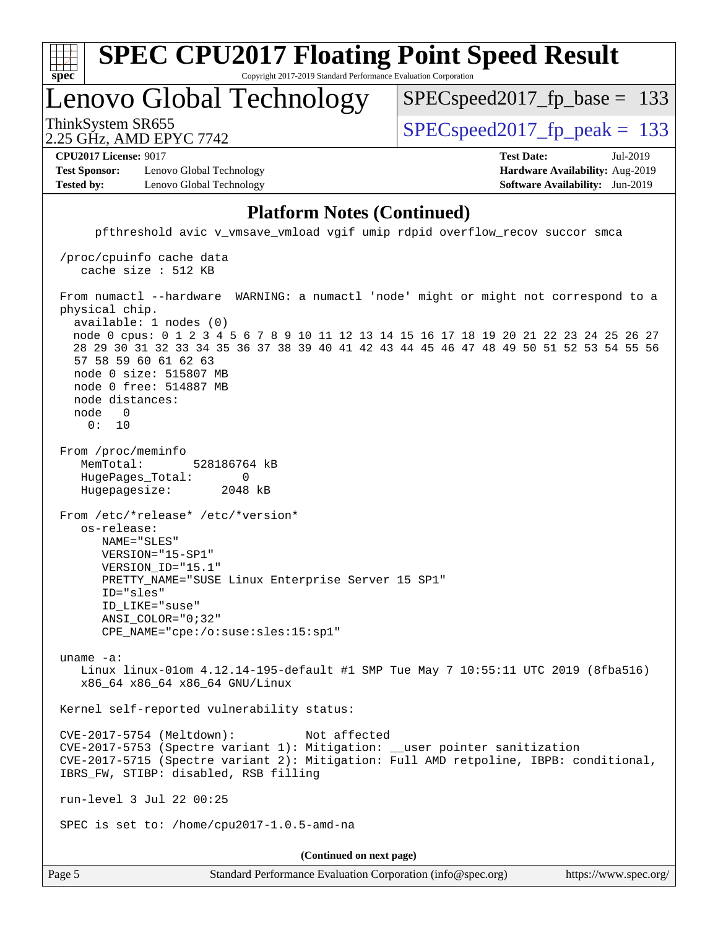| $Spec^*$                                     | <b>SPEC CPU2017 Floating Point Speed Result</b><br>Copyright 2017-2019 Standard Performance Evaluation Corporation |                          |                                 |  |  |  |
|----------------------------------------------|--------------------------------------------------------------------------------------------------------------------|--------------------------|---------------------------------|--|--|--|
|                                              |                                                                                                                    | Lenovo Global Technology | $SPEC speed2017_fp\_base = 133$ |  |  |  |
| ThinkSystem SR655<br>2.25 GHz, AMD EPYC 7742 |                                                                                                                    |                          | $SPEC speed2017_fp\_peak = 133$ |  |  |  |
|                                              | <b>CPU2017 License: 9017</b>                                                                                       |                          | <b>Test Date:</b><br>Jul-2019   |  |  |  |
|                                              | <b>Test Sponsor:</b>                                                                                               | Lenovo Global Technology | Hardware Availability: Aug-2019 |  |  |  |
| <b>Tested by:</b>                            |                                                                                                                    | Lenovo Global Technology | Software Availability: Jun-2019 |  |  |  |

#### **[Platform Notes \(Continued\)](http://www.spec.org/auto/cpu2017/Docs/result-fields.html#PlatformNotes)**

 pfthreshold avic v\_vmsave\_vmload vgif umip rdpid overflow\_recov succor smca /proc/cpuinfo cache data cache size : 512 KB From numactl --hardware WARNING: a numactl 'node' might or might not correspond to a physical chip. available: 1 nodes (0) node 0 cpus: 0 1 2 3 4 5 6 7 8 9 10 11 12 13 14 15 16 17 18 19 20 21 22 23 24 25 26 27 28 29 30 31 32 33 34 35 36 37 38 39 40 41 42 43 44 45 46 47 48 49 50 51 52 53 54 55 56 57 58 59 60 61 62 63 node 0 size: 515807 MB node 0 free: 514887 MB node distances: node 0 0: 10 From /proc/meminfo MemTotal: 528186764 kB HugePages\_Total: 0 Hugepagesize: 2048 kB From /etc/\*release\* /etc/\*version\* os-release: NAME="SLES" VERSION="15-SP1" VERSION\_ID="15.1" PRETTY\_NAME="SUSE Linux Enterprise Server 15 SP1" ID="sles" ID\_LIKE="suse" ANSI\_COLOR="0;32" CPE\_NAME="cpe:/o:suse:sles:15:sp1" uname -a: Linux linux-01om 4.12.14-195-default #1 SMP Tue May 7 10:55:11 UTC 2019 (8fba516) x86\_64 x86\_64 x86\_64 GNU/Linux Kernel self-reported vulnerability status: CVE-2017-5754 (Meltdown): Not affected CVE-2017-5753 (Spectre variant 1): Mitigation: \_\_user pointer sanitization CVE-2017-5715 (Spectre variant 2): Mitigation: Full AMD retpoline, IBPB: conditional, IBRS\_FW, STIBP: disabled, RSB filling run-level 3 Jul 22 00:25 SPEC is set to: /home/cpu2017-1.0.5-amd-na **(Continued on next page)**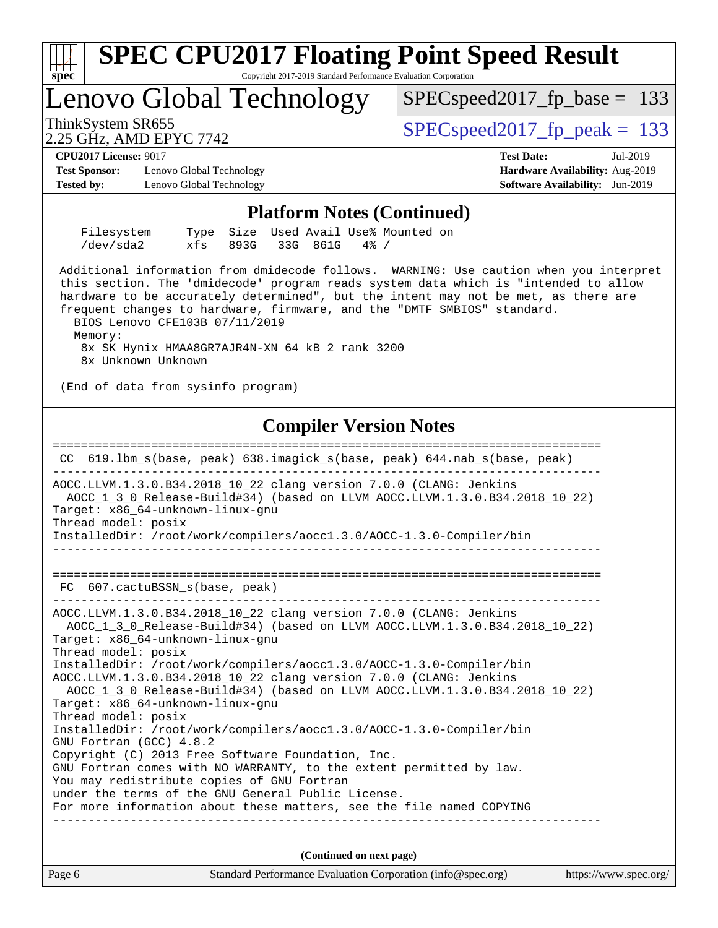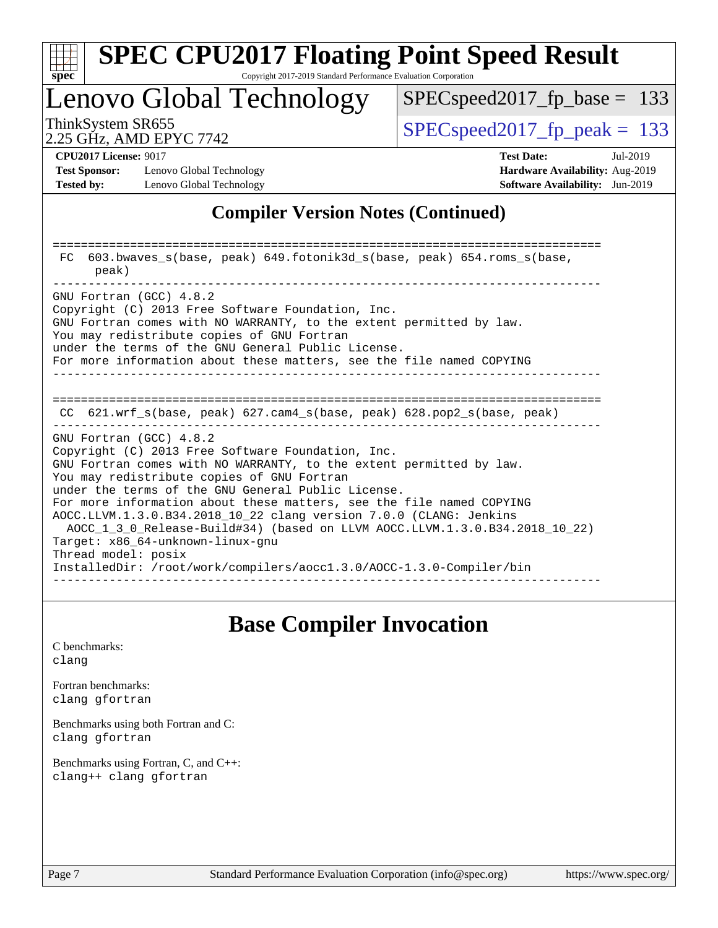

Copyright 2017-2019 Standard Performance Evaluation Corporation

Lenovo Global Technology

SPECspeed2017 fp base =  $133$ 

2.25 GHz, AMD EPYC 7742

ThinkSystem SR655  $S^{PI}$  SPECspeed2017 fp\_peak = 133

**[Test Sponsor:](http://www.spec.org/auto/cpu2017/Docs/result-fields.html#TestSponsor)** Lenovo Global Technology **[Hardware Availability:](http://www.spec.org/auto/cpu2017/Docs/result-fields.html#HardwareAvailability)** Aug-2019 **[Tested by:](http://www.spec.org/auto/cpu2017/Docs/result-fields.html#Testedby)** Lenovo Global Technology **[Software Availability:](http://www.spec.org/auto/cpu2017/Docs/result-fields.html#SoftwareAvailability)** Jun-2019

**[CPU2017 License:](http://www.spec.org/auto/cpu2017/Docs/result-fields.html#CPU2017License)** 9017 **[Test Date:](http://www.spec.org/auto/cpu2017/Docs/result-fields.html#TestDate)** Jul-2019

### **[Compiler Version Notes \(Continued\)](http://www.spec.org/auto/cpu2017/Docs/result-fields.html#CompilerVersionNotes)**

============================================================================== FC 603.bwaves\_s(base, peak) 649.fotonik3d\_s(base, peak) 654.roms\_s(base, peak) ------------------------------------------------------------------------------ GNU Fortran (GCC) 4.8.2 Copyright (C) 2013 Free Software Foundation, Inc. GNU Fortran comes with NO WARRANTY, to the extent permitted by law. You may redistribute copies of GNU Fortran under the terms of the GNU General Public License. For more information about these matters, see the file named COPYING ------------------------------------------------------------------------------ ============================================================================== CC 621.wrf\_s(base, peak) 627.cam4\_s(base, peak) 628.pop2\_s(base, peak) ------------------------------------------------------------------------------ GNU Fortran (GCC) 4.8.2 Copyright (C) 2013 Free Software Foundation, Inc. GNU Fortran comes with NO WARRANTY, to the extent permitted by law. You may redistribute copies of GNU Fortran under the terms of the GNU General Public License. For more information about these matters, see the file named COPYING AOCC.LLVM.1.3.0.B34.2018\_10\_22 clang version 7.0.0 (CLANG: Jenkins AOCC\_1\_3\_0\_Release-Build#34) (based on LLVM AOCC.LLVM.1.3.0.B34.2018\_10\_22) Target: x86\_64-unknown-linux-gnu Thread model: posix InstalledDir: /root/work/compilers/aocc1.3.0/AOCC-1.3.0-Compiler/bin ------------------------------------------------------------------------------

### **[Base Compiler Invocation](http://www.spec.org/auto/cpu2017/Docs/result-fields.html#BaseCompilerInvocation)**

[C benchmarks](http://www.spec.org/auto/cpu2017/Docs/result-fields.html#Cbenchmarks): [clang](http://www.spec.org/cpu2017/results/res2019q3/cpu2017-20190722-16289.flags.html#user_CCbase_clang-c)

[Fortran benchmarks](http://www.spec.org/auto/cpu2017/Docs/result-fields.html#Fortranbenchmarks): [clang](http://www.spec.org/cpu2017/results/res2019q3/cpu2017-20190722-16289.flags.html#user_FCbase_clang-c) [gfortran](http://www.spec.org/cpu2017/results/res2019q3/cpu2017-20190722-16289.flags.html#user_FCbase_aocc-gfortran_128c91a56d61ddb07404721e65b8f9498c31a443dacbd3b7f212891090eca86e2d099b520f75b99e9e8ac4fdec01f4d15f0b65e47123ec4c42b0759045731a1f)

[Benchmarks using both Fortran and C](http://www.spec.org/auto/cpu2017/Docs/result-fields.html#BenchmarksusingbothFortranandC): [clang](http://www.spec.org/cpu2017/results/res2019q3/cpu2017-20190722-16289.flags.html#user_CC_FCbase_clang-c) [gfortran](http://www.spec.org/cpu2017/results/res2019q3/cpu2017-20190722-16289.flags.html#user_CC_FCbase_aocc-gfortran_128c91a56d61ddb07404721e65b8f9498c31a443dacbd3b7f212891090eca86e2d099b520f75b99e9e8ac4fdec01f4d15f0b65e47123ec4c42b0759045731a1f)

[Benchmarks using Fortran, C, and C++:](http://www.spec.org/auto/cpu2017/Docs/result-fields.html#BenchmarksusingFortranCandCXX) [clang++](http://www.spec.org/cpu2017/results/res2019q3/cpu2017-20190722-16289.flags.html#user_CC_CXX_FCbase_clang-cpp) [clang](http://www.spec.org/cpu2017/results/res2019q3/cpu2017-20190722-16289.flags.html#user_CC_CXX_FCbase_clang-c) [gfortran](http://www.spec.org/cpu2017/results/res2019q3/cpu2017-20190722-16289.flags.html#user_CC_CXX_FCbase_aocc-gfortran_128c91a56d61ddb07404721e65b8f9498c31a443dacbd3b7f212891090eca86e2d099b520f75b99e9e8ac4fdec01f4d15f0b65e47123ec4c42b0759045731a1f)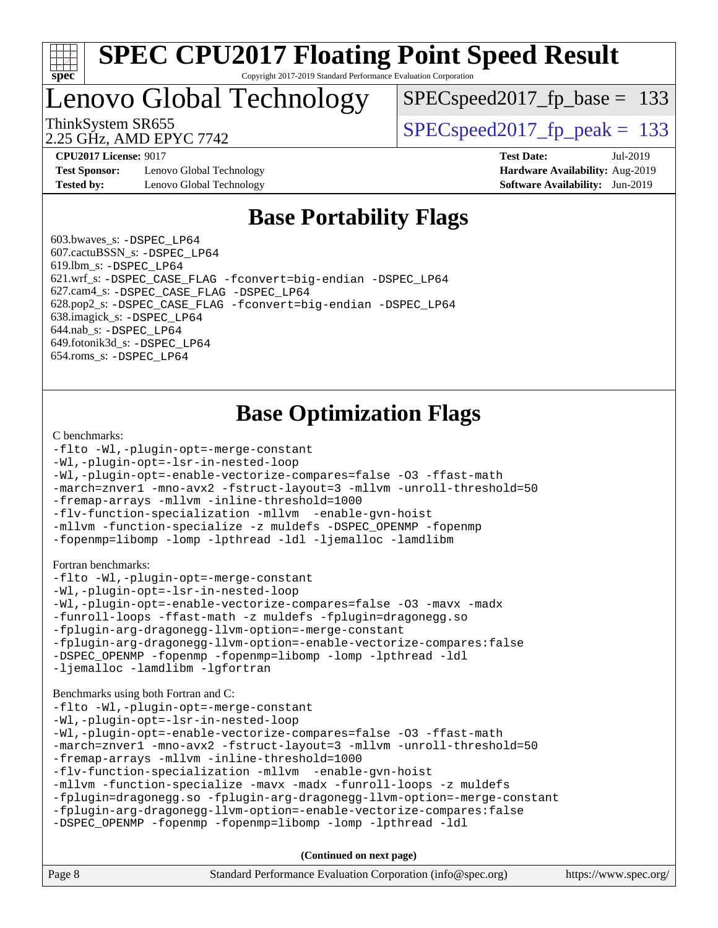

#### **[SPEC CPU2017 Floating Point Speed Result](http://www.spec.org/auto/cpu2017/Docs/result-fields.html#SPECCPU2017FloatingPointSpeedResult)** Copyright 2017-2019 Standard Performance Evaluation Corporation

Lenovo Global Technology

SPECspeed2017 fp base =  $133$ 

2.25 GHz, AMD EPYC 7742

ThinkSystem SR655  $S^{PI}$  SPECspeed2017 fp\_peak = 133

**[Test Sponsor:](http://www.spec.org/auto/cpu2017/Docs/result-fields.html#TestSponsor)** Lenovo Global Technology **[Hardware Availability:](http://www.spec.org/auto/cpu2017/Docs/result-fields.html#HardwareAvailability)** Aug-2019 **[Tested by:](http://www.spec.org/auto/cpu2017/Docs/result-fields.html#Testedby)** Lenovo Global Technology **[Software Availability:](http://www.spec.org/auto/cpu2017/Docs/result-fields.html#SoftwareAvailability)** Jun-2019

**[CPU2017 License:](http://www.spec.org/auto/cpu2017/Docs/result-fields.html#CPU2017License)** 9017 **[Test Date:](http://www.spec.org/auto/cpu2017/Docs/result-fields.html#TestDate)** Jul-2019

### **[Base Portability Flags](http://www.spec.org/auto/cpu2017/Docs/result-fields.html#BasePortabilityFlags)**

 603.bwaves\_s: [-DSPEC\\_LP64](http://www.spec.org/cpu2017/results/res2019q3/cpu2017-20190722-16289.flags.html#suite_baseEXTRA_PORTABILITY603_bwaves_s_DSPEC_LP64) 607.cactuBSSN\_s: [-DSPEC\\_LP64](http://www.spec.org/cpu2017/results/res2019q3/cpu2017-20190722-16289.flags.html#suite_baseEXTRA_PORTABILITY607_cactuBSSN_s_DSPEC_LP64) 619.lbm\_s: [-DSPEC\\_LP64](http://www.spec.org/cpu2017/results/res2019q3/cpu2017-20190722-16289.flags.html#suite_baseEXTRA_PORTABILITY619_lbm_s_DSPEC_LP64) 621.wrf\_s: [-DSPEC\\_CASE\\_FLAG](http://www.spec.org/cpu2017/results/res2019q3/cpu2017-20190722-16289.flags.html#b621.wrf_s_baseCPORTABILITY_DSPEC_CASE_FLAG) [-fconvert=big-endian](http://www.spec.org/cpu2017/results/res2019q3/cpu2017-20190722-16289.flags.html#user_baseFPORTABILITY621_wrf_s_F-fconvert) [-DSPEC\\_LP64](http://www.spec.org/cpu2017/results/res2019q3/cpu2017-20190722-16289.flags.html#suite_baseEXTRA_PORTABILITY621_wrf_s_DSPEC_LP64) 627.cam4\_s: [-DSPEC\\_CASE\\_FLAG](http://www.spec.org/cpu2017/results/res2019q3/cpu2017-20190722-16289.flags.html#b627.cam4_s_basePORTABILITY_DSPEC_CASE_FLAG) [-DSPEC\\_LP64](http://www.spec.org/cpu2017/results/res2019q3/cpu2017-20190722-16289.flags.html#suite_baseEXTRA_PORTABILITY627_cam4_s_DSPEC_LP64) 628.pop2\_s: [-DSPEC\\_CASE\\_FLAG](http://www.spec.org/cpu2017/results/res2019q3/cpu2017-20190722-16289.flags.html#b628.pop2_s_baseCPORTABILITY_DSPEC_CASE_FLAG) [-fconvert=big-endian](http://www.spec.org/cpu2017/results/res2019q3/cpu2017-20190722-16289.flags.html#user_baseFPORTABILITY628_pop2_s_F-fconvert) [-DSPEC\\_LP64](http://www.spec.org/cpu2017/results/res2019q3/cpu2017-20190722-16289.flags.html#suite_baseEXTRA_PORTABILITY628_pop2_s_DSPEC_LP64) 638.imagick\_s: [-DSPEC\\_LP64](http://www.spec.org/cpu2017/results/res2019q3/cpu2017-20190722-16289.flags.html#suite_baseEXTRA_PORTABILITY638_imagick_s_DSPEC_LP64) 644.nab\_s: [-DSPEC\\_LP64](http://www.spec.org/cpu2017/results/res2019q3/cpu2017-20190722-16289.flags.html#suite_baseEXTRA_PORTABILITY644_nab_s_DSPEC_LP64) 649.fotonik3d\_s: [-DSPEC\\_LP64](http://www.spec.org/cpu2017/results/res2019q3/cpu2017-20190722-16289.flags.html#suite_baseEXTRA_PORTABILITY649_fotonik3d_s_DSPEC_LP64) 654.roms\_s: [-DSPEC\\_LP64](http://www.spec.org/cpu2017/results/res2019q3/cpu2017-20190722-16289.flags.html#suite_baseEXTRA_PORTABILITY654_roms_s_DSPEC_LP64)

## **[Base Optimization Flags](http://www.spec.org/auto/cpu2017/Docs/result-fields.html#BaseOptimizationFlags)**

#### [C benchmarks](http://www.spec.org/auto/cpu2017/Docs/result-fields.html#Cbenchmarks):

```
-flto -Wl,-plugin-opt=-merge-constant
-Wl,-plugin-opt=-lsr-in-nested-loop
-Wl,-plugin-opt=-enable-vectorize-compares=false -O3 -ffast-math
-march=znver1 -mno-avx2 -fstruct-layout=3 -mllvm -unroll-threshold=50
-fremap-arrays -mllvm -inline-threshold=1000
-flv-function-specialization -mllvm -enable-gvn-hoist
-mllvm -function-specialize -z muldefs -DSPEC_OPENMP -fopenmp
-fopenmp=libomp -lomp -lpthread -ldl -ljemalloc -lamdlibm
Fortran benchmarks: 
-flto -Wl,-plugin-opt=-merge-constant
-Wl,-plugin-opt=-lsr-in-nested-loop
-Wl,-plugin-opt=-enable-vectorize-compares=false -O3 -mavx -madx
-funroll-loops -ffast-math -z muldefs -fplugin=dragonegg.so
-fplugin-arg-dragonegg-llvm-option=-merge-constant
-fplugin-arg-dragonegg-llvm-option=-enable-vectorize-compares:false
-DSPEC_OPENMP -fopenmp -fopenmp=libomp -lomp -lpthread -ldl
-ljemalloc -lamdlibm -lgfortran
Benchmarks using both Fortran and C: 
-flto -Wl,-plugin-opt=-merge-constant
-Wl,-plugin-opt=-lsr-in-nested-loop
-Wl,-plugin-opt=-enable-vectorize-compares=false -O3 -ffast-math
-march=znver1 -mno-avx2 -fstruct-layout=3 -mllvm -unroll-threshold=50
-fremap-arrays -mllvm -inline-threshold=1000
-flv-function-specialization -mllvm -enable-gvn-hoist
-mllvm -function-specialize -mavx -madx -funroll-loops -z muldefs
-fplugin=dragonegg.so -fplugin-arg-dragonegg-llvm-option=-merge-constant
-fplugin-arg-dragonegg-llvm-option=-enable-vectorize-compares:false
-DSPEC_OPENMP -fopenmp -fopenmp=libomp -lomp -lpthread -ldl
```
**(Continued on next page)**

| Page 8 | Standard Performance Evaluation Corporation (info@spec.org) | https://www.spec.org/ |
|--------|-------------------------------------------------------------|-----------------------|
|--------|-------------------------------------------------------------|-----------------------|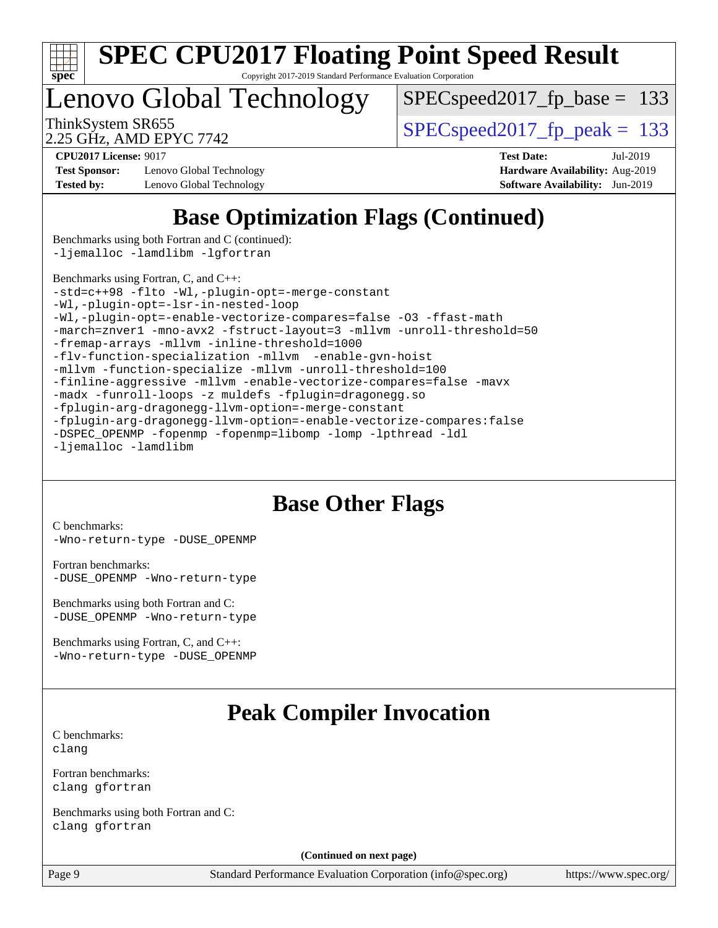

Copyright 2017-2019 Standard Performance Evaluation Corporation

Lenovo Global Technology

[SPECspeed2017\\_fp\\_base =](http://www.spec.org/auto/cpu2017/Docs/result-fields.html#SPECspeed2017fpbase) 133

2.25 GHz, AMD EPYC 7742

ThinkSystem SR655  $S^{PIZ}$  SPECspeed2017 fp\_peak = 133

**[Test Sponsor:](http://www.spec.org/auto/cpu2017/Docs/result-fields.html#TestSponsor)** Lenovo Global Technology **[Hardware Availability:](http://www.spec.org/auto/cpu2017/Docs/result-fields.html#HardwareAvailability)** Aug-2019 **[Tested by:](http://www.spec.org/auto/cpu2017/Docs/result-fields.html#Testedby)** Lenovo Global Technology **[Software Availability:](http://www.spec.org/auto/cpu2017/Docs/result-fields.html#SoftwareAvailability)** Jun-2019

**[CPU2017 License:](http://www.spec.org/auto/cpu2017/Docs/result-fields.html#CPU2017License)** 9017 **[Test Date:](http://www.spec.org/auto/cpu2017/Docs/result-fields.html#TestDate)** Jul-2019

## **[Base Optimization Flags \(Continued\)](http://www.spec.org/auto/cpu2017/Docs/result-fields.html#BaseOptimizationFlags)**

[Benchmarks using both Fortran and C](http://www.spec.org/auto/cpu2017/Docs/result-fields.html#BenchmarksusingbothFortranandC) (continued): [-ljemalloc](http://www.spec.org/cpu2017/results/res2019q3/cpu2017-20190722-16289.flags.html#user_CC_FCbase_jemalloc-lib) [-lamdlibm](http://www.spec.org/cpu2017/results/res2019q3/cpu2017-20190722-16289.flags.html#user_CC_FCbase_F-lamdlibm) [-lgfortran](http://www.spec.org/cpu2017/results/res2019q3/cpu2017-20190722-16289.flags.html#user_CC_FCbase_F-lgfortran)

[Benchmarks using Fortran, C, and C++:](http://www.spec.org/auto/cpu2017/Docs/result-fields.html#BenchmarksusingFortranCandCXX)

[-std=c++98](http://www.spec.org/cpu2017/results/res2019q3/cpu2017-20190722-16289.flags.html#user_CC_CXX_FCbase_std-cpp) [-flto](http://www.spec.org/cpu2017/results/res2019q3/cpu2017-20190722-16289.flags.html#user_CC_CXX_FCbase_aocc-flto) [-Wl,-plugin-opt=-merge-constant](http://www.spec.org/cpu2017/results/res2019q3/cpu2017-20190722-16289.flags.html#user_CC_CXX_FCbase_F-merge-constant_1d79771b5442061d9c8e05556c6b0c655e6c9e66f8c6936b0129d434b6acd2b1cf1b7cd2540d1570ff636111b08a6bc36e2e61fc34531f8ef7c1a34c57be1dbb) [-Wl,-plugin-opt=-lsr-in-nested-loop](http://www.spec.org/cpu2017/results/res2019q3/cpu2017-20190722-16289.flags.html#user_CC_CXX_FCbase_lsr-in-nested-loop_1cff93fd95162f5e77640b5271e8bed680fb62b4a8d96fb8ab217ff3244646f1fbb342e31af83c263403bbf5249c7dc7732d5c86c3eab4cc8d32dcb7a6f33ca0) [-Wl,-plugin-opt=-enable-vectorize-compares=false](http://www.spec.org/cpu2017/results/res2019q3/cpu2017-20190722-16289.flags.html#user_CC_CXX_FCbase_disable-vectorize-compares_b853f8418a42cc06a425f4a16db6b380d14e00519cd0324381fbe3b5fed198752fe9eb4cd4ff428f878821db69d9c031475f4f5f073a0fc0b0734450034716e8) [-O3](http://www.spec.org/cpu2017/results/res2019q3/cpu2017-20190722-16289.flags.html#user_CC_CXX_FCbase_F-O3) [-ffast-math](http://www.spec.org/cpu2017/results/res2019q3/cpu2017-20190722-16289.flags.html#user_CC_CXX_FCbase_aocc-ffast-math) [-march=znver1](http://www.spec.org/cpu2017/results/res2019q3/cpu2017-20190722-16289.flags.html#user_CC_CXX_FCbase_aocc-march) [-mno-avx2](http://www.spec.org/cpu2017/results/res2019q3/cpu2017-20190722-16289.flags.html#user_CC_CXX_FCbase_F-mno-avx2) [-fstruct-layout=3](http://www.spec.org/cpu2017/results/res2019q3/cpu2017-20190722-16289.flags.html#user_CC_CXX_FCbase_struct-layout) [-mllvm -unroll-threshold=50](http://www.spec.org/cpu2017/results/res2019q3/cpu2017-20190722-16289.flags.html#user_CC_CXX_FCbase_unroll-threshold_458874500b2c105d6d5cb4d7a611c40e2b16e9e3d26b355fea72d644c3673b4de4b3932662f0ed3dbec75c491a13da2d2ca81180bd779dc531083ef1e1e549dc) [-fremap-arrays](http://www.spec.org/cpu2017/results/res2019q3/cpu2017-20190722-16289.flags.html#user_CC_CXX_FCbase_F-fremap-arrays) [-mllvm -inline-threshold=1000](http://www.spec.org/cpu2017/results/res2019q3/cpu2017-20190722-16289.flags.html#user_CC_CXX_FCbase_dragonegg-llvm-inline-threshold_b7832241b0a6397e4ecdbaf0eb7defdc10f885c2a282fa3240fdc99844d543fda39cf8a4a9dccf68cf19b5438ac3b455264f478df15da0f4988afa40d8243bab) [-flv-function-specialization](http://www.spec.org/cpu2017/results/res2019q3/cpu2017-20190722-16289.flags.html#user_CC_CXX_FCbase_F-flv-function-specialization) [-mllvm -enable-gvn-hoist](http://www.spec.org/cpu2017/results/res2019q3/cpu2017-20190722-16289.flags.html#user_CC_CXX_FCbase_F-enable-gvn-hoist_98f0171d4f818d7f97896885cc39145d9c6ec6ecaa45bb289c3a12839072136e4af160d9bd95e903e60fee72c4a35db75799b8a57e2b8d1ccd3b6c61417e660c) [-mllvm -function-specialize](http://www.spec.org/cpu2017/results/res2019q3/cpu2017-20190722-16289.flags.html#user_CC_CXX_FCbase_function-specialize_233b3bdba86027f1b094368157e481c5bc59f40286dc25bfadc1858dcd5745c24fd30d5f188710db7fea399bcc9f44a80b3ce3aacc70a8870250c3ae5e1f35b8) [-mllvm -unroll-threshold=100](http://www.spec.org/cpu2017/results/res2019q3/cpu2017-20190722-16289.flags.html#user_CC_CXX_FCbase_unroll-threshold_2755d0c78138845d361fa1543e3a063fffa198df9b3edf0cfb856bbc88a81e1769b12ac7a550c5d35197be55360db1a3f95a8d1304df999456cabf5120c45168) [-finline-aggressive](http://www.spec.org/cpu2017/results/res2019q3/cpu2017-20190722-16289.flags.html#user_CC_CXX_FCbase_F-finline-aggressive) [-mllvm -enable-vectorize-compares=false](http://www.spec.org/cpu2017/results/res2019q3/cpu2017-20190722-16289.flags.html#user_CC_CXX_FCbase_disable-vectorize-compares_744e96dfaf0e6a0a8f558ad1f5117f7c029494e749ba2ce0369b998eced2f14f36c9acf9c44ff6efbd2349df21357d03f05694bcf5c1bda7e49ae93e191b7f84) [-mavx](http://www.spec.org/cpu2017/results/res2019q3/cpu2017-20190722-16289.flags.html#user_CC_CXX_FCbase_F-mavx) [-madx](http://www.spec.org/cpu2017/results/res2019q3/cpu2017-20190722-16289.flags.html#user_CC_CXX_FCbase_F-madx) [-funroll-loops](http://www.spec.org/cpu2017/results/res2019q3/cpu2017-20190722-16289.flags.html#user_CC_CXX_FCbase_aocc-unroll-loops) [-z muldefs](http://www.spec.org/cpu2017/results/res2019q3/cpu2017-20190722-16289.flags.html#user_CC_CXX_FCbase_aocc-muldefs) [-fplugin=dragonegg.so](http://www.spec.org/cpu2017/results/res2019q3/cpu2017-20190722-16289.flags.html#user_CC_CXX_FCbase_plugin-DragonEgg) [-fplugin-arg-dragonegg-llvm-option=-merge-constant](http://www.spec.org/cpu2017/results/res2019q3/cpu2017-20190722-16289.flags.html#user_CC_CXX_FCbase_F-merge-constant_37fd66d07a4fbae8f1b816e843c3ed1ebaa48f794b65ea8be746a1880566a3d23eba4a3c37b5c024650311adcf9247c62af28144803b3729b14be14423fa5142) [-fplugin-arg-dragonegg-llvm-option=-enable-vectorize-compares:false](http://www.spec.org/cpu2017/results/res2019q3/cpu2017-20190722-16289.flags.html#user_CC_CXX_FCbase_disable-vectorize-compares_d4094b735d9772f5001bab891b2a0f9b1e0f937da6fdfe4e9819ace3776bcc13a4b4fcd9a28f53dc5d73dd9ab9700532467376ddc09187e57c9ec8837a5c2d32) [-DSPEC\\_OPENMP](http://www.spec.org/cpu2017/results/res2019q3/cpu2017-20190722-16289.flags.html#suite_CC_CXX_FCbase_DSPEC_OPENMP) [-fopenmp](http://www.spec.org/cpu2017/results/res2019q3/cpu2017-20190722-16289.flags.html#user_CC_CXX_FCbase_F-fopenmp) [-fopenmp=libomp](http://www.spec.org/cpu2017/results/res2019q3/cpu2017-20190722-16289.flags.html#user_CC_CXX_FCbase_F-fopenmp_3eb6ab80166bcc84161ff8c20c8d5bc344f88119f45620444596454f7d72e99b7a0ceefc2d1b4d190bd07306bbfdfc20f11f5a2dc69c9b03c72239f8406741c3) [-lomp](http://www.spec.org/cpu2017/results/res2019q3/cpu2017-20190722-16289.flags.html#user_CC_CXX_FCbase_F-lomp) [-lpthread](http://www.spec.org/cpu2017/results/res2019q3/cpu2017-20190722-16289.flags.html#user_CC_CXX_FCbase_F-lpthread) [-ldl](http://www.spec.org/cpu2017/results/res2019q3/cpu2017-20190722-16289.flags.html#user_CC_CXX_FCbase_F-ldl) [-ljemalloc](http://www.spec.org/cpu2017/results/res2019q3/cpu2017-20190722-16289.flags.html#user_CC_CXX_FCbase_jemalloc-lib) [-lamdlibm](http://www.spec.org/cpu2017/results/res2019q3/cpu2017-20190722-16289.flags.html#user_CC_CXX_FCbase_F-lamdlibm)

### **[Base Other Flags](http://www.spec.org/auto/cpu2017/Docs/result-fields.html#BaseOtherFlags)**

[C benchmarks](http://www.spec.org/auto/cpu2017/Docs/result-fields.html#Cbenchmarks): [-Wno-return-type](http://www.spec.org/cpu2017/results/res2019q3/cpu2017-20190722-16289.flags.html#user_CCbase_F-Wno-return-type) [-DUSE\\_OPENMP](http://www.spec.org/cpu2017/results/res2019q3/cpu2017-20190722-16289.flags.html#user_CCbase_F-DUSE_OPENMP)

[Fortran benchmarks](http://www.spec.org/auto/cpu2017/Docs/result-fields.html#Fortranbenchmarks): [-DUSE\\_OPENMP](http://www.spec.org/cpu2017/results/res2019q3/cpu2017-20190722-16289.flags.html#user_FCbase_F-DUSE_OPENMP) [-Wno-return-type](http://www.spec.org/cpu2017/results/res2019q3/cpu2017-20190722-16289.flags.html#user_FCbase_F-Wno-return-type)

[Benchmarks using both Fortran and C](http://www.spec.org/auto/cpu2017/Docs/result-fields.html#BenchmarksusingbothFortranandC): [-DUSE\\_OPENMP](http://www.spec.org/cpu2017/results/res2019q3/cpu2017-20190722-16289.flags.html#user_CC_FCbase_F-DUSE_OPENMP) [-Wno-return-type](http://www.spec.org/cpu2017/results/res2019q3/cpu2017-20190722-16289.flags.html#user_CC_FCbase_F-Wno-return-type)

[Benchmarks using Fortran, C, and C++:](http://www.spec.org/auto/cpu2017/Docs/result-fields.html#BenchmarksusingFortranCandCXX) [-Wno-return-type](http://www.spec.org/cpu2017/results/res2019q3/cpu2017-20190722-16289.flags.html#user_CC_CXX_FCbase_F-Wno-return-type) [-DUSE\\_OPENMP](http://www.spec.org/cpu2017/results/res2019q3/cpu2017-20190722-16289.flags.html#user_CC_CXX_FCbase_F-DUSE_OPENMP)

## **[Peak Compiler Invocation](http://www.spec.org/auto/cpu2017/Docs/result-fields.html#PeakCompilerInvocation)**

[C benchmarks](http://www.spec.org/auto/cpu2017/Docs/result-fields.html#Cbenchmarks): [clang](http://www.spec.org/cpu2017/results/res2019q3/cpu2017-20190722-16289.flags.html#user_CCpeak_clang-c)

[Fortran benchmarks](http://www.spec.org/auto/cpu2017/Docs/result-fields.html#Fortranbenchmarks): [clang](http://www.spec.org/cpu2017/results/res2019q3/cpu2017-20190722-16289.flags.html#user_FCpeak_clang-c) [gfortran](http://www.spec.org/cpu2017/results/res2019q3/cpu2017-20190722-16289.flags.html#user_FCpeak_aocc-gfortran_128c91a56d61ddb07404721e65b8f9498c31a443dacbd3b7f212891090eca86e2d099b520f75b99e9e8ac4fdec01f4d15f0b65e47123ec4c42b0759045731a1f)

[Benchmarks using both Fortran and C](http://www.spec.org/auto/cpu2017/Docs/result-fields.html#BenchmarksusingbothFortranandC): [clang](http://www.spec.org/cpu2017/results/res2019q3/cpu2017-20190722-16289.flags.html#user_CC_FCpeak_clang-c) [gfortran](http://www.spec.org/cpu2017/results/res2019q3/cpu2017-20190722-16289.flags.html#user_CC_FCpeak_aocc-gfortran_128c91a56d61ddb07404721e65b8f9498c31a443dacbd3b7f212891090eca86e2d099b520f75b99e9e8ac4fdec01f4d15f0b65e47123ec4c42b0759045731a1f)

**(Continued on next page)**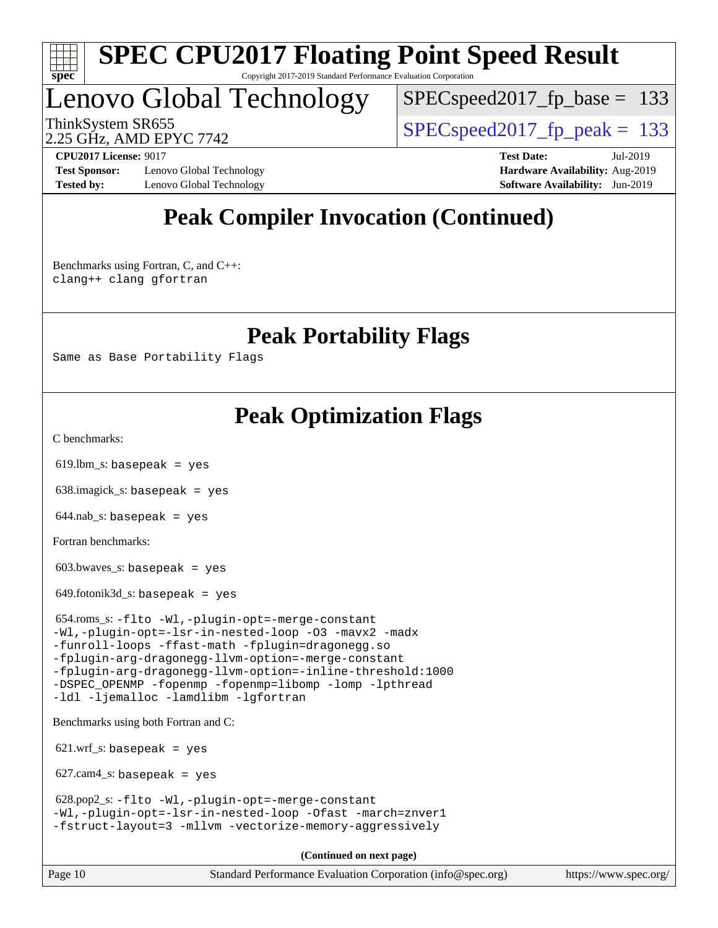

#### **[SPEC CPU2017 Floating Point Speed Result](http://www.spec.org/auto/cpu2017/Docs/result-fields.html#SPECCPU2017FloatingPointSpeedResult)** Copyright 2017-2019 Standard Performance Evaluation Corporation

Lenovo Global Technology

[SPECspeed2017\\_fp\\_base =](http://www.spec.org/auto/cpu2017/Docs/result-fields.html#SPECspeed2017fpbase) 133

2.25 GHz, AMD EPYC 7742

ThinkSystem SR655  $S^{PI}$  SPECspeed2017 fp\_peak = 133

**[Test Sponsor:](http://www.spec.org/auto/cpu2017/Docs/result-fields.html#TestSponsor)** Lenovo Global Technology **[Hardware Availability:](http://www.spec.org/auto/cpu2017/Docs/result-fields.html#HardwareAvailability)** Aug-2019 **[Tested by:](http://www.spec.org/auto/cpu2017/Docs/result-fields.html#Testedby)** Lenovo Global Technology **[Software Availability:](http://www.spec.org/auto/cpu2017/Docs/result-fields.html#SoftwareAvailability)** Jun-2019

**[CPU2017 License:](http://www.spec.org/auto/cpu2017/Docs/result-fields.html#CPU2017License)** 9017 **[Test Date:](http://www.spec.org/auto/cpu2017/Docs/result-fields.html#TestDate)** Jul-2019

## **[Peak Compiler Invocation \(Continued\)](http://www.spec.org/auto/cpu2017/Docs/result-fields.html#PeakCompilerInvocation)**

[Benchmarks using Fortran, C, and C++:](http://www.spec.org/auto/cpu2017/Docs/result-fields.html#BenchmarksusingFortranCandCXX) [clang++](http://www.spec.org/cpu2017/results/res2019q3/cpu2017-20190722-16289.flags.html#user_CC_CXX_FCpeak_clang-cpp) [clang](http://www.spec.org/cpu2017/results/res2019q3/cpu2017-20190722-16289.flags.html#user_CC_CXX_FCpeak_clang-c) [gfortran](http://www.spec.org/cpu2017/results/res2019q3/cpu2017-20190722-16289.flags.html#user_CC_CXX_FCpeak_aocc-gfortran_128c91a56d61ddb07404721e65b8f9498c31a443dacbd3b7f212891090eca86e2d099b520f75b99e9e8ac4fdec01f4d15f0b65e47123ec4c42b0759045731a1f)

**[Peak Portability Flags](http://www.spec.org/auto/cpu2017/Docs/result-fields.html#PeakPortabilityFlags)**

Same as Base Portability Flags

## **[Peak Optimization Flags](http://www.spec.org/auto/cpu2017/Docs/result-fields.html#PeakOptimizationFlags)**

[C benchmarks](http://www.spec.org/auto/cpu2017/Docs/result-fields.html#Cbenchmarks):

 $619.$ lbm\_s: basepeak = yes

638.imagick\_s: basepeak = yes

 $644$ .nab\_s: basepeak = yes

[Fortran benchmarks](http://www.spec.org/auto/cpu2017/Docs/result-fields.html#Fortranbenchmarks):

603.bwaves\_s: basepeak = yes

 $649.$ fotonik $3d$ <sub>s</sub>: basepeak = yes

 654.roms\_s: [-flto](http://www.spec.org/cpu2017/results/res2019q3/cpu2017-20190722-16289.flags.html#user_peakEXTRA_LDFLAGS654_roms_s_aocc-flto) [-Wl,-plugin-opt=-merge-constant](http://www.spec.org/cpu2017/results/res2019q3/cpu2017-20190722-16289.flags.html#user_peakEXTRA_LDFLAGS654_roms_s_F-merge-constant_1d79771b5442061d9c8e05556c6b0c655e6c9e66f8c6936b0129d434b6acd2b1cf1b7cd2540d1570ff636111b08a6bc36e2e61fc34531f8ef7c1a34c57be1dbb) [-Wl,-plugin-opt=-lsr-in-nested-loop](http://www.spec.org/cpu2017/results/res2019q3/cpu2017-20190722-16289.flags.html#user_peakEXTRA_LDFLAGS654_roms_s_lsr-in-nested-loop_1cff93fd95162f5e77640b5271e8bed680fb62b4a8d96fb8ab217ff3244646f1fbb342e31af83c263403bbf5249c7dc7732d5c86c3eab4cc8d32dcb7a6f33ca0) [-O3](http://www.spec.org/cpu2017/results/res2019q3/cpu2017-20190722-16289.flags.html#user_peakFOPTIMIZE654_roms_s_F-O3) [-mavx2](http://www.spec.org/cpu2017/results/res2019q3/cpu2017-20190722-16289.flags.html#user_peakFOPTIMIZE654_roms_s_F-mavx2) [-madx](http://www.spec.org/cpu2017/results/res2019q3/cpu2017-20190722-16289.flags.html#user_peakFOPTIMIZE654_roms_s_F-madx) [-funroll-loops](http://www.spec.org/cpu2017/results/res2019q3/cpu2017-20190722-16289.flags.html#user_peakFOPTIMIZE654_roms_s_aocc-unroll-loops) [-ffast-math](http://www.spec.org/cpu2017/results/res2019q3/cpu2017-20190722-16289.flags.html#user_peakFOPTIMIZE654_roms_s_aocc-ffast-math) [-fplugin=dragonegg.so](http://www.spec.org/cpu2017/results/res2019q3/cpu2017-20190722-16289.flags.html#user_peakEXTRA_FFLAGS654_roms_s_plugin-DragonEgg) [-fplugin-arg-dragonegg-llvm-option=-merge-constant](http://www.spec.org/cpu2017/results/res2019q3/cpu2017-20190722-16289.flags.html#user_peakEXTRA_FFLAGS654_roms_s_F-merge-constant_37fd66d07a4fbae8f1b816e843c3ed1ebaa48f794b65ea8be746a1880566a3d23eba4a3c37b5c024650311adcf9247c62af28144803b3729b14be14423fa5142) [-fplugin-arg-dragonegg-llvm-option=-inline-threshold:1000](http://www.spec.org/cpu2017/results/res2019q3/cpu2017-20190722-16289.flags.html#user_peakEXTRA_FFLAGS654_roms_s_dragonegg-llvm-inline-threshold_eec74946bf81becf626625ea3f1757217b7f1e09b0c056df6f4a6dc542562255a9e8a6d36c454b3b2ed3e147f40cf87a14a68e01ad47a8b90b49f15f387f919f) [-DSPEC\\_OPENMP](http://www.spec.org/cpu2017/results/res2019q3/cpu2017-20190722-16289.flags.html#suite_peakEXTRA_OPTIMIZE654_roms_s_DSPEC_OPENMP) [-fopenmp](http://www.spec.org/cpu2017/results/res2019q3/cpu2017-20190722-16289.flags.html#user_peakEXTRA_OPTIMIZE654_roms_s_F-fopenmp) [-fopenmp=libomp](http://www.spec.org/cpu2017/results/res2019q3/cpu2017-20190722-16289.flags.html#user_peakEXTRA_LIBS654_roms_s_F-fopenmp_3eb6ab80166bcc84161ff8c20c8d5bc344f88119f45620444596454f7d72e99b7a0ceefc2d1b4d190bd07306bbfdfc20f11f5a2dc69c9b03c72239f8406741c3) [-lomp](http://www.spec.org/cpu2017/results/res2019q3/cpu2017-20190722-16289.flags.html#user_peakEXTRA_LIBS654_roms_s_F-lomp) [-lpthread](http://www.spec.org/cpu2017/results/res2019q3/cpu2017-20190722-16289.flags.html#user_peakEXTRA_LIBS654_roms_s_F-lpthread) [-ldl](http://www.spec.org/cpu2017/results/res2019q3/cpu2017-20190722-16289.flags.html#user_peakEXTRA_LIBS654_roms_s_F-ldl) [-ljemalloc](http://www.spec.org/cpu2017/results/res2019q3/cpu2017-20190722-16289.flags.html#user_peakEXTRA_LIBS654_roms_s_jemalloc-lib) [-lamdlibm](http://www.spec.org/cpu2017/results/res2019q3/cpu2017-20190722-16289.flags.html#user_peakEXTRA_FLIBSEXTRA_LIBS654_roms_s_F-lamdlibm) [-lgfortran](http://www.spec.org/cpu2017/results/res2019q3/cpu2017-20190722-16289.flags.html#user_peakEXTRA_FLIBS654_roms_s_F-lgfortran)

[Benchmarks using both Fortran and C](http://www.spec.org/auto/cpu2017/Docs/result-fields.html#BenchmarksusingbothFortranandC):

 $621.wrf_s$ : basepeak = yes

 $627.cam4_s$ : basepeak = yes

 628.pop2\_s: [-flto](http://www.spec.org/cpu2017/results/res2019q3/cpu2017-20190722-16289.flags.html#user_peakCOPTIMIZEEXTRA_LDFLAGS628_pop2_s_aocc-flto) [-Wl,-plugin-opt=-merge-constant](http://www.spec.org/cpu2017/results/res2019q3/cpu2017-20190722-16289.flags.html#user_peakEXTRA_LDFLAGS628_pop2_s_F-merge-constant_1d79771b5442061d9c8e05556c6b0c655e6c9e66f8c6936b0129d434b6acd2b1cf1b7cd2540d1570ff636111b08a6bc36e2e61fc34531f8ef7c1a34c57be1dbb) [-Wl,-plugin-opt=-lsr-in-nested-loop](http://www.spec.org/cpu2017/results/res2019q3/cpu2017-20190722-16289.flags.html#user_peakEXTRA_LDFLAGS628_pop2_s_lsr-in-nested-loop_1cff93fd95162f5e77640b5271e8bed680fb62b4a8d96fb8ab217ff3244646f1fbb342e31af83c263403bbf5249c7dc7732d5c86c3eab4cc8d32dcb7a6f33ca0) [-Ofast](http://www.spec.org/cpu2017/results/res2019q3/cpu2017-20190722-16289.flags.html#user_peakCOPTIMIZE628_pop2_s_aocc-Ofast) [-march=znver1](http://www.spec.org/cpu2017/results/res2019q3/cpu2017-20190722-16289.flags.html#user_peakCOPTIMIZE628_pop2_s_aocc-march) [-fstruct-layout=3](http://www.spec.org/cpu2017/results/res2019q3/cpu2017-20190722-16289.flags.html#user_peakCOPTIMIZE628_pop2_s_struct-layout) [-mllvm -vectorize-memory-aggressively](http://www.spec.org/cpu2017/results/res2019q3/cpu2017-20190722-16289.flags.html#user_peakCOPTIMIZE628_pop2_s_vectorize-memory-aggressively_24b72a4417f50ade9e698c5b3bed87ab456cc6fc8ec6439480cb84f36ad6a3975af6e87206dea402e3871a1464ff3d60bc798e0250f330177ba629a260df1857)

**(Continued on next page)**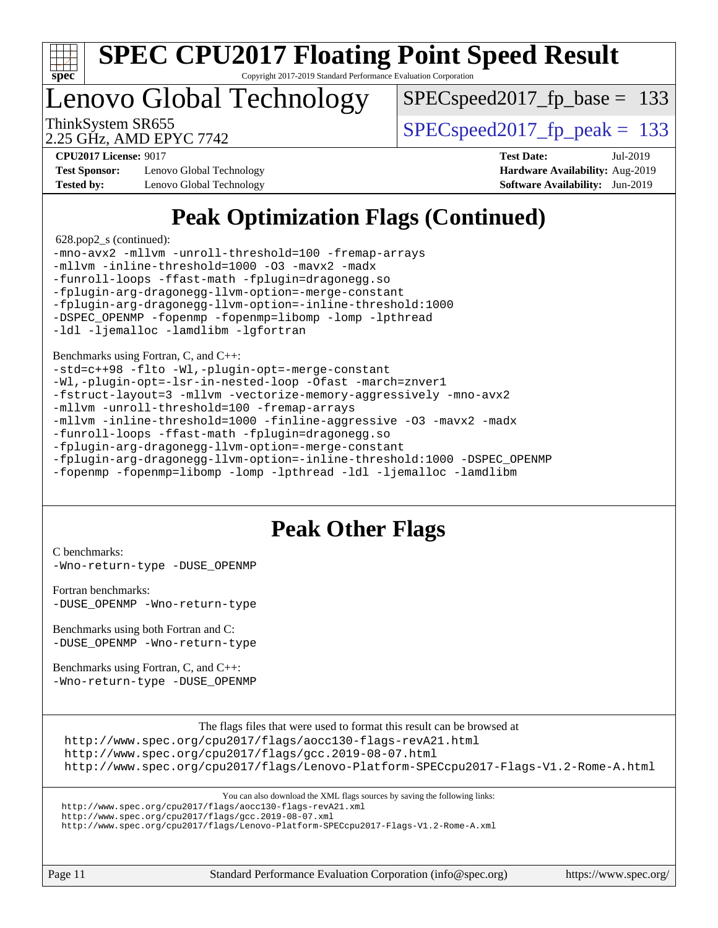

#### **[SPEC CPU2017 Floating Point Speed Result](http://www.spec.org/auto/cpu2017/Docs/result-fields.html#SPECCPU2017FloatingPointSpeedResult)** Copyright 2017-2019 Standard Performance Evaluation Corporation

Lenovo Global Technology

SPECspeed2017 fp base =  $133$ 

2.25 GHz, AMD EPYC 7742

ThinkSystem SR655  $S^{PI}$  SPECspeed2017 fp\_peak = 133

**[Test Sponsor:](http://www.spec.org/auto/cpu2017/Docs/result-fields.html#TestSponsor)** Lenovo Global Technology **[Hardware Availability:](http://www.spec.org/auto/cpu2017/Docs/result-fields.html#HardwareAvailability)** Aug-2019 **[Tested by:](http://www.spec.org/auto/cpu2017/Docs/result-fields.html#Testedby)** Lenovo Global Technology **[Software Availability:](http://www.spec.org/auto/cpu2017/Docs/result-fields.html#SoftwareAvailability)** Jun-2019

**[CPU2017 License:](http://www.spec.org/auto/cpu2017/Docs/result-fields.html#CPU2017License)** 9017 **[Test Date:](http://www.spec.org/auto/cpu2017/Docs/result-fields.html#TestDate)** Jul-2019

## **[Peak Optimization Flags \(Continued\)](http://www.spec.org/auto/cpu2017/Docs/result-fields.html#PeakOptimizationFlags)**

628.pop2\_s (continued):

| -mno-avx2 -mllvm -unroll-threshold=100 -fremap-arrays     |
|-----------------------------------------------------------|
| -mllvm -inline-threshold=1000 -03 -mavx2 -madx            |
| -funroll-loops -ffast-math -fplugin=dragonegg.so          |
| -fplugin-arg-dragonegg-llvm-option=-merge-constant        |
| -fplugin-arg-dragonegg-llvm-option=-inline-threshold:1000 |
| -DSPEC OPENMP -fopenmp -fopenmp=libomp -lomp -lpthread    |
| -1dl -ljemalloc -lamdlibm -lgfortran                      |
|                                                           |
| Benchmarks using Fortran, C, and C++:                     |

[-std=c++98](http://www.spec.org/cpu2017/results/res2019q3/cpu2017-20190722-16289.flags.html#user_CC_CXX_FCpeak_std-cpp) [-flto](http://www.spec.org/cpu2017/results/res2019q3/cpu2017-20190722-16289.flags.html#user_CC_CXX_FCpeak_aocc-flto) [-Wl,-plugin-opt=-merge-constant](http://www.spec.org/cpu2017/results/res2019q3/cpu2017-20190722-16289.flags.html#user_CC_CXX_FCpeak_F-merge-constant_1d79771b5442061d9c8e05556c6b0c655e6c9e66f8c6936b0129d434b6acd2b1cf1b7cd2540d1570ff636111b08a6bc36e2e61fc34531f8ef7c1a34c57be1dbb) [-Wl,-plugin-opt=-lsr-in-nested-loop](http://www.spec.org/cpu2017/results/res2019q3/cpu2017-20190722-16289.flags.html#user_CC_CXX_FCpeak_lsr-in-nested-loop_1cff93fd95162f5e77640b5271e8bed680fb62b4a8d96fb8ab217ff3244646f1fbb342e31af83c263403bbf5249c7dc7732d5c86c3eab4cc8d32dcb7a6f33ca0) [-Ofast](http://www.spec.org/cpu2017/results/res2019q3/cpu2017-20190722-16289.flags.html#user_CC_CXX_FCpeak_aocc-Ofast) [-march=znver1](http://www.spec.org/cpu2017/results/res2019q3/cpu2017-20190722-16289.flags.html#user_CC_CXX_FCpeak_aocc-march) [-fstruct-layout=3](http://www.spec.org/cpu2017/results/res2019q3/cpu2017-20190722-16289.flags.html#user_CC_CXX_FCpeak_struct-layout) [-mllvm -vectorize-memory-aggressively](http://www.spec.org/cpu2017/results/res2019q3/cpu2017-20190722-16289.flags.html#user_CC_CXX_FCpeak_vectorize-memory-aggressively_24b72a4417f50ade9e698c5b3bed87ab456cc6fc8ec6439480cb84f36ad6a3975af6e87206dea402e3871a1464ff3d60bc798e0250f330177ba629a260df1857) [-mno-avx2](http://www.spec.org/cpu2017/results/res2019q3/cpu2017-20190722-16289.flags.html#user_CC_CXX_FCpeak_F-mno-avx2) [-mllvm -unroll-threshold=100](http://www.spec.org/cpu2017/results/res2019q3/cpu2017-20190722-16289.flags.html#user_CC_CXX_FCpeak_unroll-threshold_2755d0c78138845d361fa1543e3a063fffa198df9b3edf0cfb856bbc88a81e1769b12ac7a550c5d35197be55360db1a3f95a8d1304df999456cabf5120c45168) [-fremap-arrays](http://www.spec.org/cpu2017/results/res2019q3/cpu2017-20190722-16289.flags.html#user_CC_CXX_FCpeak_F-fremap-arrays) [-mllvm -inline-threshold=1000](http://www.spec.org/cpu2017/results/res2019q3/cpu2017-20190722-16289.flags.html#user_CC_CXX_FCpeak_dragonegg-llvm-inline-threshold_b7832241b0a6397e4ecdbaf0eb7defdc10f885c2a282fa3240fdc99844d543fda39cf8a4a9dccf68cf19b5438ac3b455264f478df15da0f4988afa40d8243bab) [-finline-aggressive](http://www.spec.org/cpu2017/results/res2019q3/cpu2017-20190722-16289.flags.html#user_CC_CXX_FCpeak_F-finline-aggressive) [-O3](http://www.spec.org/cpu2017/results/res2019q3/cpu2017-20190722-16289.flags.html#user_CC_CXX_FCpeak_F-O3) [-mavx2](http://www.spec.org/cpu2017/results/res2019q3/cpu2017-20190722-16289.flags.html#user_CC_CXX_FCpeak_F-mavx2) [-madx](http://www.spec.org/cpu2017/results/res2019q3/cpu2017-20190722-16289.flags.html#user_CC_CXX_FCpeak_F-madx) [-funroll-loops](http://www.spec.org/cpu2017/results/res2019q3/cpu2017-20190722-16289.flags.html#user_CC_CXX_FCpeak_aocc-unroll-loops) [-ffast-math](http://www.spec.org/cpu2017/results/res2019q3/cpu2017-20190722-16289.flags.html#user_CC_CXX_FCpeak_aocc-ffast-math) [-fplugin=dragonegg.so](http://www.spec.org/cpu2017/results/res2019q3/cpu2017-20190722-16289.flags.html#user_CC_CXX_FCpeak_plugin-DragonEgg) [-fplugin-arg-dragonegg-llvm-option=-merge-constant](http://www.spec.org/cpu2017/results/res2019q3/cpu2017-20190722-16289.flags.html#user_CC_CXX_FCpeak_F-merge-constant_37fd66d07a4fbae8f1b816e843c3ed1ebaa48f794b65ea8be746a1880566a3d23eba4a3c37b5c024650311adcf9247c62af28144803b3729b14be14423fa5142) [-fplugin-arg-dragonegg-llvm-option=-inline-threshold:1000](http://www.spec.org/cpu2017/results/res2019q3/cpu2017-20190722-16289.flags.html#user_CC_CXX_FCpeak_dragonegg-llvm-inline-threshold_eec74946bf81becf626625ea3f1757217b7f1e09b0c056df6f4a6dc542562255a9e8a6d36c454b3b2ed3e147f40cf87a14a68e01ad47a8b90b49f15f387f919f) [-DSPEC\\_OPENMP](http://www.spec.org/cpu2017/results/res2019q3/cpu2017-20190722-16289.flags.html#suite_CC_CXX_FCpeak_DSPEC_OPENMP)

[-fopenmp](http://www.spec.org/cpu2017/results/res2019q3/cpu2017-20190722-16289.flags.html#user_CC_CXX_FCpeak_F-fopenmp) [-fopenmp=libomp](http://www.spec.org/cpu2017/results/res2019q3/cpu2017-20190722-16289.flags.html#user_CC_CXX_FCpeak_F-fopenmp_3eb6ab80166bcc84161ff8c20c8d5bc344f88119f45620444596454f7d72e99b7a0ceefc2d1b4d190bd07306bbfdfc20f11f5a2dc69c9b03c72239f8406741c3) [-lomp](http://www.spec.org/cpu2017/results/res2019q3/cpu2017-20190722-16289.flags.html#user_CC_CXX_FCpeak_F-lomp) [-lpthread](http://www.spec.org/cpu2017/results/res2019q3/cpu2017-20190722-16289.flags.html#user_CC_CXX_FCpeak_F-lpthread) [-ldl](http://www.spec.org/cpu2017/results/res2019q3/cpu2017-20190722-16289.flags.html#user_CC_CXX_FCpeak_F-ldl) [-ljemalloc](http://www.spec.org/cpu2017/results/res2019q3/cpu2017-20190722-16289.flags.html#user_CC_CXX_FCpeak_jemalloc-lib) [-lamdlibm](http://www.spec.org/cpu2017/results/res2019q3/cpu2017-20190722-16289.flags.html#user_CC_CXX_FCpeak_F-lamdlibm)

### **[Peak Other Flags](http://www.spec.org/auto/cpu2017/Docs/result-fields.html#PeakOtherFlags)**

[C benchmarks](http://www.spec.org/auto/cpu2017/Docs/result-fields.html#Cbenchmarks): [-Wno-return-type](http://www.spec.org/cpu2017/results/res2019q3/cpu2017-20190722-16289.flags.html#user_CCpeak_F-Wno-return-type) [-DUSE\\_OPENMP](http://www.spec.org/cpu2017/results/res2019q3/cpu2017-20190722-16289.flags.html#user_CCpeak_F-DUSE_OPENMP)

[Fortran benchmarks](http://www.spec.org/auto/cpu2017/Docs/result-fields.html#Fortranbenchmarks): [-DUSE\\_OPENMP](http://www.spec.org/cpu2017/results/res2019q3/cpu2017-20190722-16289.flags.html#user_FCpeak_F-DUSE_OPENMP) [-Wno-return-type](http://www.spec.org/cpu2017/results/res2019q3/cpu2017-20190722-16289.flags.html#user_FCpeak_F-Wno-return-type)

[Benchmarks using both Fortran and C](http://www.spec.org/auto/cpu2017/Docs/result-fields.html#BenchmarksusingbothFortranandC): [-DUSE\\_OPENMP](http://www.spec.org/cpu2017/results/res2019q3/cpu2017-20190722-16289.flags.html#user_CC_FCpeak_F-DUSE_OPENMP) [-Wno-return-type](http://www.spec.org/cpu2017/results/res2019q3/cpu2017-20190722-16289.flags.html#user_CC_FCpeak_F-Wno-return-type)

[Benchmarks using Fortran, C, and C++:](http://www.spec.org/auto/cpu2017/Docs/result-fields.html#BenchmarksusingFortranCandCXX) [-Wno-return-type](http://www.spec.org/cpu2017/results/res2019q3/cpu2017-20190722-16289.flags.html#user_CC_CXX_FCpeak_F-Wno-return-type) [-DUSE\\_OPENMP](http://www.spec.org/cpu2017/results/res2019q3/cpu2017-20190722-16289.flags.html#user_CC_CXX_FCpeak_F-DUSE_OPENMP)

The flags files that were used to format this result can be browsed at

<http://www.spec.org/cpu2017/flags/aocc130-flags-revA21.html>

<http://www.spec.org/cpu2017/flags/gcc.2019-08-07.html>

<http://www.spec.org/cpu2017/flags/Lenovo-Platform-SPECcpu2017-Flags-V1.2-Rome-A.html>

You can also download the XML flags sources by saving the following links:

<http://www.spec.org/cpu2017/flags/aocc130-flags-revA21.xml>

<http://www.spec.org/cpu2017/flags/gcc.2019-08-07.xml>

<http://www.spec.org/cpu2017/flags/Lenovo-Platform-SPECcpu2017-Flags-V1.2-Rome-A.xml>